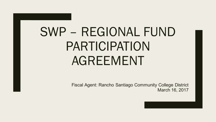# SWP – REGIONAL FUND PARTICIPATION AGREEMENT

Fiscal Agent: Rancho Santiago Community College District March 16, 2017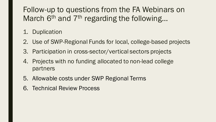#### Follow-up to questions from the FA Webinars on March  $6<sup>th</sup>$  and  $7<sup>th</sup>$  regarding the following...

- 1. Duplication
- 2. Use of SWP-Regional Funds for local, college-based projects
- 3. Participation in cross-sector/vertical sectors projects
- 4. Projects with no funding allocated to non-lead college partners
- 5. Allowable costs under SWP Regional Terms
- 6. Technical Review Process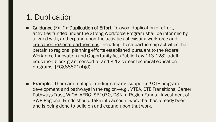#### 1. Duplication

- Guidance (Ex. C): Duplication of Effort: To avoid duplication of effort, activities funded under the Strong Workforce Program shall be informed by, aligned with, and expand upon the activities of existing workforce and education regional partnerships, including those partnership activities that pertain to regional planning efforts established pursuant to the federal Workforce Innovation and Opportunity Act (Public Law 113-128), adult education block grant consortia, and K-12 career technical education programs. [EC§88821(4)(d)]
- Example: There are multiple funding streams supporting CTE program development and pathways in the region—e.g., VTEA, CTE Transitions, Career Pathways Trust, WIOA, AEBG, SB1070, DSN In-Region Funds. Investment of SWP-Regional Funds should take into account work that has already been and is being done to build on and expand upon that work.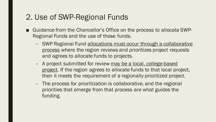#### 2. Use of SWP-Regional Funds

- Guidance from the Chancellor's Office on the process to allocate SWP-Regional Funds and the use of those funds.
	- SWP Regional Fund allocations must occur through a collaborative process where the region reviews and prioritizes project requests and agrees to allocate funds to projects.
	- A project submitted for review may be a local, college-based project. If the region agrees to allocate funds to that local project, then it meets the requirement of a regionally prioritized project.
	- The process for prioritization is collaborative, and the regional priorities that emerge from that process are what guides the funding.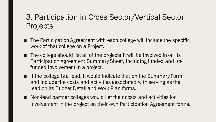#### 3. Participation in Cross Sector/Vertical Sector **Projects**

- The Participation Agreement with each college will include the specific work of that college on a Project.
- The college should list all of the projects it will be involved in on its Participation Agreement Summary Sheet, including funded and unfunded involvement in a project.
- If the college is a lead, it would indicate that on the Summary Form, and include the costs and activities associated with serving as the lead on its Budget Detail and Work Plan forms.
- Non-lead partner colleges would list their costs and activities for involvement in the project on their own Participation Agreement forms.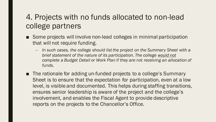#### 4. Projects with no funds allocated to non-lead college partners

- Some projects will involve non-lead colleges in minimal participation that will not require funding.
	- *In such cases, the college should list the project on the Summary Sheet with a brief statement of the nature of its participation. The college would not complete a Budget Detail or Work Plan if they are not receiving an allocation of funds.*
- The rationale for adding un-funded projects to a college's Summary Sheet is to ensure that the expectation for participation, even at a low level, is visible and documented. This helps during staffing transitions, ensures senior leadership is aware of the project and the college's involvement, and enables the Fiscal Agent to provide descriptive reports on the projects to the Chancellor's Office.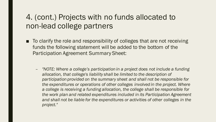#### 4. (cont.) Projects with no funds allocated to non-lead college partners

- To clarify the role and responsibility of colleges that are not receiving funds the following statement will be added to the bottom of the Participation Agreement Summary Sheet:
	- *"NOTE: Where a college's participation in a project does not include a funding allocation, that college's liability shall be limited to the description of participation provided on the summary sheet and shall not be responsible for the expenditures or operations of other colleges involved in the project. Where a college is receiving a funding allocation, the college shall be responsible for the work plan and related expenditures included in its Participation Agreement and shall not be liable for the expenditures or activities of other colleges in the project."*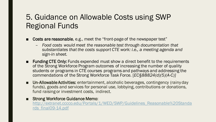#### 5. Guidance on Allowable Costs using SWP Regional Funds

- Costs are reasonable, e.g., meet the "front-page of the newspaper test"
	- *Food costs would meet the reasonable test through documentation that substantiates that the costs support CTE work: i.e., a meeting agenda and sign-in sheet.*
- Funding CTE Only: Funds expended must show a direct benefit to the requirements of the Strong Workforce Program outcomes of increasing the number of quality students or programs in CTE courses programs and pathways and addressing the commendations of the Strong Workforce Task Force. [*EC§88824(d)(5)(A-C)]*
- Un-Allowable Activities: entertainment, alcoholic beverages, contingency (rainy day funds), goods and services for personal use, lobbying, contributions or donations, fund raising or investment costs, indirect.
- Strong Workforce Guidance Memo:

http://extranet.cccco.edu/Portals/1/WED/SWP/Guidelines\_Reasonable%20Standa rds\_final09-14.pdf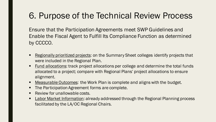## 6. Purpose of the Technical Review Process

Ensure that the Participation Agreements meet SWP Guidelines and Enable the Fiscal Agent to Fulfill Its Compliance Function as determined by CCCCO.

- § Regionally prioritized projects: on the Summary Sheet colleges identify projects that were included in the Regional Plan.
- Fund allocations: track project allocations per college and determine the total funds allocated to a project; compare with Regional Plans' project allocations to ensure alignment.
- Measurable Outcomes: the Work Plan is complete and aligns with the budget.
- The Participation Agreement forms are complete.
- **Review for unallowable costs.**
- **Labor Market Information: already addressed through the Regional Planning process** facilitated by the LA/OC Regional Chairs.